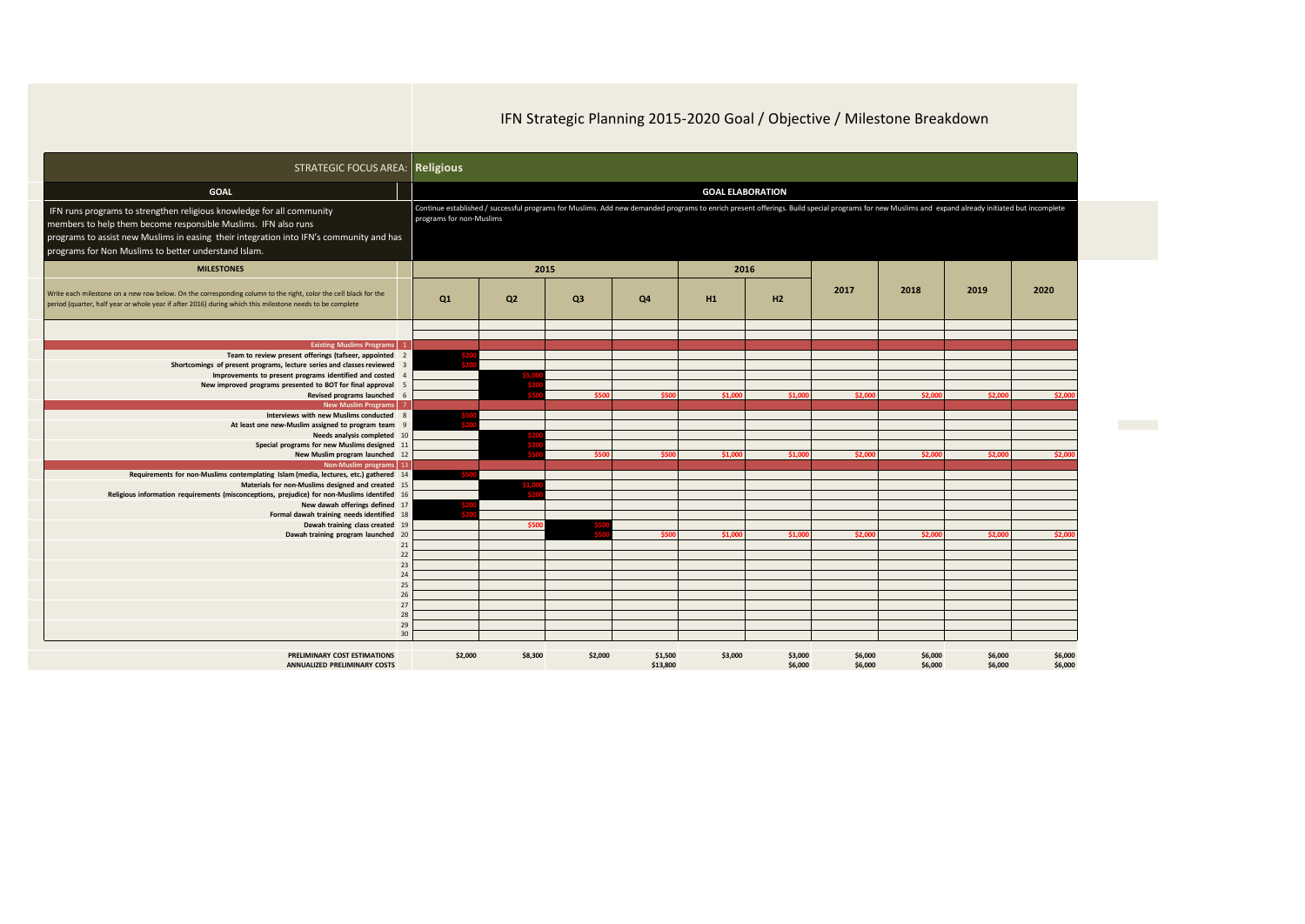## IFN Strategic Planning 2015-2020 Goal / Objective / Milestone Breakdown

| <b>STRATEGIC FOCUS AREA: Religious</b>                                                                                                                                                                                      |          |                                                                                                                                                                                                                              |                |                |          |         |         |         |         |         |         |
|-----------------------------------------------------------------------------------------------------------------------------------------------------------------------------------------------------------------------------|----------|------------------------------------------------------------------------------------------------------------------------------------------------------------------------------------------------------------------------------|----------------|----------------|----------|---------|---------|---------|---------|---------|---------|
| <b>GOAL</b>                                                                                                                                                                                                                 |          | <b>GOAL ELABORATION</b><br>Continue established / successful programs for Muslims. Add new demanded programs to enrich present offerings. Build special programs for new Muslims and expand already initiated but incomplete |                |                |          |         |         |         |         |         |         |
| IFN runs programs to strengthen religious knowledge for all community<br>members to help them become responsible Muslims. IFN also runs                                                                                     |          | programs for non-Muslims                                                                                                                                                                                                     |                |                |          |         |         |         |         |         |         |
| programs to assist new Muslims in easing their integration into IFN's community and has<br>programs for Non Muslims to better understand Islam.                                                                             |          |                                                                                                                                                                                                                              |                |                |          |         |         |         |         |         |         |
| <b>MILESTONES</b>                                                                                                                                                                                                           |          |                                                                                                                                                                                                                              | 2015           |                |          | 2016    |         |         |         |         |         |
| Write each milestone on a new row below. On the corresponding column to the right, color the cell black for the<br>period (quarter, half year or whole year if after 2016) during which this milestone needs to be complete |          | Q1                                                                                                                                                                                                                           | Q <sub>2</sub> | Q <sub>3</sub> | Q4       | H1      | H2      | 2017    | 2018    | 2019    | 2020    |
|                                                                                                                                                                                                                             |          |                                                                                                                                                                                                                              |                |                |          |         |         |         |         |         |         |
| <b>Existing Muslims Programs</b> 1                                                                                                                                                                                          |          |                                                                                                                                                                                                                              |                |                |          |         |         |         |         |         |         |
| Team to review present offerings (tafseer, appointed                                                                                                                                                                        |          |                                                                                                                                                                                                                              |                |                |          |         |         |         |         |         |         |
| Shortcomings of present programs, lecture series and classes reviewed                                                                                                                                                       |          |                                                                                                                                                                                                                              |                |                |          |         |         |         |         |         |         |
| Improvements to present programs identified and costed<br>New improved programs presented to BOT for final approval                                                                                                         |          |                                                                                                                                                                                                                              |                |                |          |         |         |         |         |         |         |
| Revised programs launched 6                                                                                                                                                                                                 |          |                                                                                                                                                                                                                              |                | \$500          | \$500    | \$1,000 | \$1,000 | \$2.000 | \$2,000 | \$2,000 | \$2,000 |
| New Muslim Programs 7                                                                                                                                                                                                       |          |                                                                                                                                                                                                                              |                |                |          |         |         |         |         |         |         |
| Interviews with new Muslims conducted 8                                                                                                                                                                                     |          |                                                                                                                                                                                                                              |                |                |          |         |         |         |         |         |         |
| At least one new-Muslim assigned to program team 9                                                                                                                                                                          |          |                                                                                                                                                                                                                              |                |                |          |         |         |         |         |         |         |
| Needs analysis completed 10                                                                                                                                                                                                 |          |                                                                                                                                                                                                                              |                |                |          |         |         |         |         |         |         |
| Special programs for new Muslims designed 11                                                                                                                                                                                |          |                                                                                                                                                                                                                              |                | \$500          | \$500    |         |         |         |         |         | \$2,000 |
| New Muslim program launched 12<br>Non-Muslim programs 13                                                                                                                                                                    |          |                                                                                                                                                                                                                              |                |                |          | \$1,000 | \$1,000 | \$2,000 | \$2,000 | \$2,000 |         |
| Requirements for non-Muslims contemplating Islam (media, lectures, etc.) gathered 14                                                                                                                                        |          |                                                                                                                                                                                                                              |                |                |          |         |         |         |         |         |         |
| Materials for non-Muslims designed and created 15                                                                                                                                                                           |          |                                                                                                                                                                                                                              |                |                |          |         |         |         |         |         |         |
| Religious information requirements (misconceptions, prejudice) for non-Muslims identifed 16                                                                                                                                 |          |                                                                                                                                                                                                                              |                |                |          |         |         |         |         |         |         |
| New dawah offerings defined 17                                                                                                                                                                                              |          |                                                                                                                                                                                                                              |                |                |          |         |         |         |         |         |         |
| Formal dawah training needs identified 18                                                                                                                                                                                   |          |                                                                                                                                                                                                                              |                |                |          |         |         |         |         |         |         |
| Dawah training class created 19                                                                                                                                                                                             |          |                                                                                                                                                                                                                              | \$500          |                |          |         |         |         |         |         |         |
| Dawah training program launched 20                                                                                                                                                                                          |          |                                                                                                                                                                                                                              |                |                | \$500    | \$1,000 | \$1,000 | \$2,000 | \$2,000 | \$2,000 | \$2,000 |
|                                                                                                                                                                                                                             | 21<br>22 |                                                                                                                                                                                                                              |                |                |          |         |         |         |         |         |         |
|                                                                                                                                                                                                                             | 23       |                                                                                                                                                                                                                              |                |                |          |         |         |         |         |         |         |
|                                                                                                                                                                                                                             | 24       |                                                                                                                                                                                                                              |                |                |          |         |         |         |         |         |         |
|                                                                                                                                                                                                                             | 25       |                                                                                                                                                                                                                              |                |                |          |         |         |         |         |         |         |
|                                                                                                                                                                                                                             | 26       |                                                                                                                                                                                                                              |                |                |          |         |         |         |         |         |         |
|                                                                                                                                                                                                                             | 27       |                                                                                                                                                                                                                              |                |                |          |         |         |         |         |         |         |
|                                                                                                                                                                                                                             | 28       |                                                                                                                                                                                                                              |                |                |          |         |         |         |         |         |         |
|                                                                                                                                                                                                                             | 29<br>30 |                                                                                                                                                                                                                              |                |                |          |         |         |         |         |         |         |
|                                                                                                                                                                                                                             |          |                                                                                                                                                                                                                              |                |                |          |         |         |         |         |         |         |
| PRELIMINARY COST ESTIMATIONS                                                                                                                                                                                                |          | \$2,000                                                                                                                                                                                                                      | \$8,300        | \$2,000        | \$1,500  | \$3,000 | \$3,000 | \$6,000 | \$6,000 | \$6,000 | \$6,000 |
| <b>ANNUALIZED PRELIMINARY COSTS</b>                                                                                                                                                                                         |          |                                                                                                                                                                                                                              |                |                | \$13,800 |         | \$6,000 | \$6,000 | \$6,000 | \$6,000 | \$6,000 |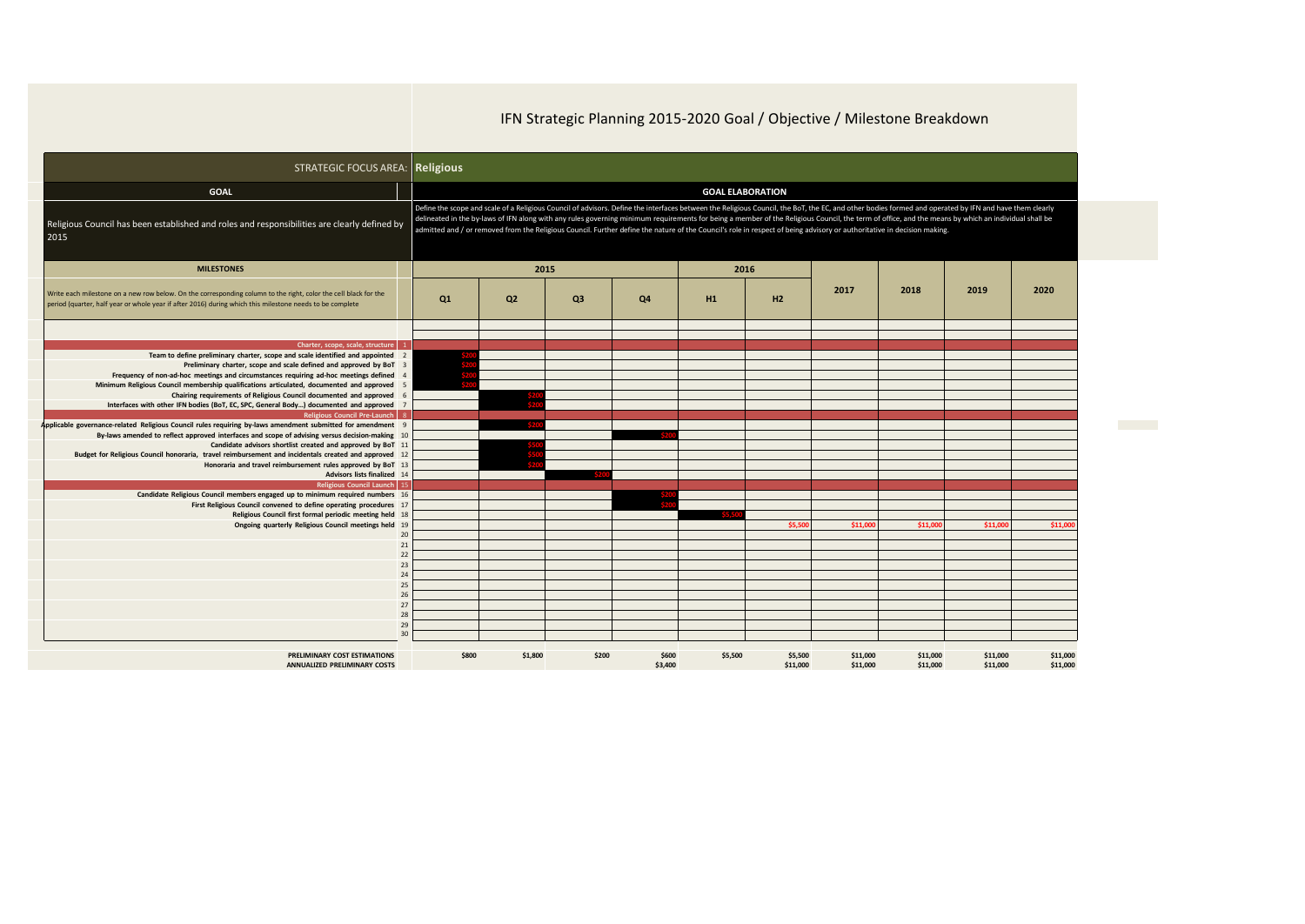## IFN Strategic Planning 2015-2020 Goal / Objective / Milestone Breakdown

| <b>STRATEGIC FOCUS AREA: Religious</b>                                                                                                                                                                                      |                         |                                                                                                                                                                                                                                                                                                                                                                                                                                                                                                                                                                                          |                |         |         |          |          |          |          |          |
|-----------------------------------------------------------------------------------------------------------------------------------------------------------------------------------------------------------------------------|-------------------------|------------------------------------------------------------------------------------------------------------------------------------------------------------------------------------------------------------------------------------------------------------------------------------------------------------------------------------------------------------------------------------------------------------------------------------------------------------------------------------------------------------------------------------------------------------------------------------------|----------------|---------|---------|----------|----------|----------|----------|----------|
| <b>GOAL</b>                                                                                                                                                                                                                 | <b>GOAL ELABORATION</b> |                                                                                                                                                                                                                                                                                                                                                                                                                                                                                                                                                                                          |                |         |         |          |          |          |          |          |
| Religious Council has been established and roles and responsibilities are clearly defined by<br>2015                                                                                                                        |                         | Define the scope and scale of a Religious Council of advisors. Define the interfaces between the Religious Council, the BoT, the EC, and other bodies formed and operated by IFN and have them clearly<br>delineated in the by-laws of IFN along with any rules governing minimum requirements for being a member of the Religious Council, the term of office, and the means by which an individual shall be<br>admitted and / or removed from the Religious Council. Further define the nature of the Council's role in respect of being advisory or authoritative in decision making. |                |         |         |          |          |          |          |          |
| <b>MILESTONES</b>                                                                                                                                                                                                           |                         | 2015                                                                                                                                                                                                                                                                                                                                                                                                                                                                                                                                                                                     |                |         | 2016    |          |          |          |          |          |
| Write each milestone on a new row below. On the corresponding column to the right, color the cell black for the<br>period (quarter, half year or whole year if after 2016) during which this milestone needs to be complete | Q1                      | Q <sub>2</sub>                                                                                                                                                                                                                                                                                                                                                                                                                                                                                                                                                                           | Q <sub>3</sub> | Q4      | H1      | H2       | 2017     | 2018     | 2019     | 2020     |
|                                                                                                                                                                                                                             |                         |                                                                                                                                                                                                                                                                                                                                                                                                                                                                                                                                                                                          |                |         |         |          |          |          |          |          |
| Charter, scope, scale, structure                                                                                                                                                                                            |                         |                                                                                                                                                                                                                                                                                                                                                                                                                                                                                                                                                                                          |                |         |         |          |          |          |          |          |
| Team to define preliminary charter, scope and scale identified and appointed 2                                                                                                                                              |                         |                                                                                                                                                                                                                                                                                                                                                                                                                                                                                                                                                                                          |                |         |         |          |          |          |          |          |
| Preliminary charter, scope and scale defined and approved by BoT 3                                                                                                                                                          |                         |                                                                                                                                                                                                                                                                                                                                                                                                                                                                                                                                                                                          |                |         |         |          |          |          |          |          |
| Frequency of non-ad-hoc meetings and circumstances requiring ad-hoc meetings defined<br>$\Delta$                                                                                                                            |                         |                                                                                                                                                                                                                                                                                                                                                                                                                                                                                                                                                                                          |                |         |         |          |          |          |          |          |
| Minimum Religious Council membership qualifications articulated, documented and approved<br>-5                                                                                                                              |                         |                                                                                                                                                                                                                                                                                                                                                                                                                                                                                                                                                                                          |                |         |         |          |          |          |          |          |
| Chairing requirements of Religious Council documented and approved 6                                                                                                                                                        |                         |                                                                                                                                                                                                                                                                                                                                                                                                                                                                                                                                                                                          |                |         |         |          |          |          |          |          |
| Interfaces with other IFN bodies (BoT, EC, SPC, General Body) documented and approved 7                                                                                                                                     |                         |                                                                                                                                                                                                                                                                                                                                                                                                                                                                                                                                                                                          |                |         |         |          |          |          |          |          |
| Religious Council Pre-Launch   8<br>Applicable governance-related Religious Council rules requiring by-laws amendment submitted for amendment 9                                                                             |                         |                                                                                                                                                                                                                                                                                                                                                                                                                                                                                                                                                                                          |                |         |         |          |          |          |          |          |
| By-laws amended to reflect approved interfaces and scope of advising versus decision-making 10                                                                                                                              |                         |                                                                                                                                                                                                                                                                                                                                                                                                                                                                                                                                                                                          |                |         |         |          |          |          |          |          |
| Candidate advisors shortlist created and approved by BoT 11                                                                                                                                                                 |                         |                                                                                                                                                                                                                                                                                                                                                                                                                                                                                                                                                                                          |                |         |         |          |          |          |          |          |
| Budget for Religious Council honoraria, travel reimbursement and incidentals created and approved 12                                                                                                                        |                         |                                                                                                                                                                                                                                                                                                                                                                                                                                                                                                                                                                                          |                |         |         |          |          |          |          |          |
| Honoraria and travel reimbursement rules approved by BoT 13                                                                                                                                                                 |                         |                                                                                                                                                                                                                                                                                                                                                                                                                                                                                                                                                                                          |                |         |         |          |          |          |          |          |
| Advisors lists finalized 14                                                                                                                                                                                                 |                         |                                                                                                                                                                                                                                                                                                                                                                                                                                                                                                                                                                                          |                |         |         |          |          |          |          |          |
| Religious Council Launch 15                                                                                                                                                                                                 |                         |                                                                                                                                                                                                                                                                                                                                                                                                                                                                                                                                                                                          |                |         |         |          |          |          |          |          |
| Candidate Religious Council members engaged up to minimum required numbers 16                                                                                                                                               |                         |                                                                                                                                                                                                                                                                                                                                                                                                                                                                                                                                                                                          |                |         |         |          |          |          |          |          |
| First Religious Council convened to define operating procedures 17                                                                                                                                                          |                         |                                                                                                                                                                                                                                                                                                                                                                                                                                                                                                                                                                                          |                |         |         |          |          |          |          |          |
| Religious Council first formal periodic meeting held 18                                                                                                                                                                     |                         |                                                                                                                                                                                                                                                                                                                                                                                                                                                                                                                                                                                          |                |         |         |          |          |          |          |          |
| Ongoing quarterly Religious Council meetings held 19                                                                                                                                                                        |                         |                                                                                                                                                                                                                                                                                                                                                                                                                                                                                                                                                                                          |                |         |         | \$5,500  | \$11,000 | \$11,000 | \$11,000 | \$11,000 |
| 20                                                                                                                                                                                                                          |                         |                                                                                                                                                                                                                                                                                                                                                                                                                                                                                                                                                                                          |                |         |         |          |          |          |          |          |
| 21                                                                                                                                                                                                                          |                         |                                                                                                                                                                                                                                                                                                                                                                                                                                                                                                                                                                                          |                |         |         |          |          |          |          |          |
| 22                                                                                                                                                                                                                          |                         |                                                                                                                                                                                                                                                                                                                                                                                                                                                                                                                                                                                          |                |         |         |          |          |          |          |          |
| 23                                                                                                                                                                                                                          |                         |                                                                                                                                                                                                                                                                                                                                                                                                                                                                                                                                                                                          |                |         |         |          |          |          |          |          |
| 24                                                                                                                                                                                                                          |                         |                                                                                                                                                                                                                                                                                                                                                                                                                                                                                                                                                                                          |                |         |         |          |          |          |          |          |
| 25<br>26                                                                                                                                                                                                                    |                         |                                                                                                                                                                                                                                                                                                                                                                                                                                                                                                                                                                                          |                |         |         |          |          |          |          |          |
| 27                                                                                                                                                                                                                          |                         |                                                                                                                                                                                                                                                                                                                                                                                                                                                                                                                                                                                          |                |         |         |          |          |          |          |          |
| 28                                                                                                                                                                                                                          |                         |                                                                                                                                                                                                                                                                                                                                                                                                                                                                                                                                                                                          |                |         |         |          |          |          |          |          |
| 29                                                                                                                                                                                                                          |                         |                                                                                                                                                                                                                                                                                                                                                                                                                                                                                                                                                                                          |                |         |         |          |          |          |          |          |
| 30                                                                                                                                                                                                                          |                         |                                                                                                                                                                                                                                                                                                                                                                                                                                                                                                                                                                                          |                |         |         |          |          |          |          |          |
| PRELIMINARY COST ESTIMATIONS                                                                                                                                                                                                | \$800                   | \$1,800                                                                                                                                                                                                                                                                                                                                                                                                                                                                                                                                                                                  | \$200          | \$600   | \$5,500 | \$5,500  | \$11,000 | \$11,000 | \$11,000 | \$11,000 |
| <b>ANNUALIZED PRELIMINARY COSTS</b>                                                                                                                                                                                         |                         |                                                                                                                                                                                                                                                                                                                                                                                                                                                                                                                                                                                          |                | \$3,400 |         | \$11,000 | \$11,000 | \$11,000 | \$11,000 | \$11,000 |